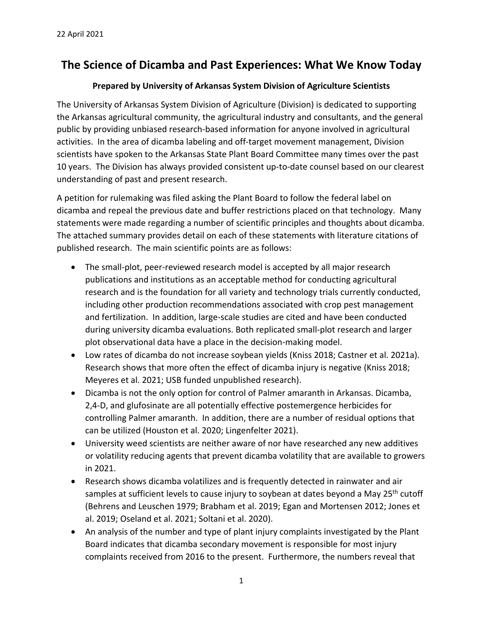# **The Science of Dicamba and Past Experiences: What We Know Today**

### **Prepared by University of Arkansas System Division of Agriculture Scientists**

The University of Arkansas System Division of Agriculture (Division) is dedicated to supporting the Arkansas agricultural community, the agricultural industry and consultants, and the general public by providing unbiased research‐based information for anyone involved in agricultural activities. In the area of dicamba labeling and off‐target movement management, Division scientists have spoken to the Arkansas State Plant Board Committee many times over the past 10 years. The Division has always provided consistent up-to-date counsel based on our clearest understanding of past and present research.

A petition for rulemaking was filed asking the Plant Board to follow the federal label on dicamba and repeal the previous date and buffer restrictions placed on that technology. Many statements were made regarding a number of scientific principles and thoughts about dicamba. The attached summary provides detail on each of these statements with literature citations of published research. The main scientific points are as follows:

- The small-plot, peer-reviewed research model is accepted by all major research publications and institutions as an acceptable method for conducting agricultural research and is the foundation for all variety and technology trials currently conducted, including other production recommendations associated with crop pest management and fertilization. In addition, large‐scale studies are cited and have been conducted during university dicamba evaluations. Both replicated small‐plot research and larger plot observational data have a place in the decision‐making model.
- Low rates of dicamba do not increase soybean yields (Kniss 2018; Castner et al. 2021a). Research shows that more often the effect of dicamba injury is negative (Kniss 2018; Meyeres et al. 2021; USB funded unpublished research).
- Dicamba is not the only option for control of Palmer amaranth in Arkansas. Dicamba, 2,4‐D, and glufosinate are all potentially effective postemergence herbicides for controlling Palmer amaranth. In addition, there are a number of residual options that can be utilized (Houston et al. 2020; Lingenfelter 2021).
- University weed scientists are neither aware of nor have researched any new additives or volatility reducing agents that prevent dicamba volatility that are available to growers in 2021.
- Research shows dicamba volatilizes and is frequently detected in rainwater and air samples at sufficient levels to cause injury to soybean at dates beyond a May 25<sup>th</sup> cutoff (Behrens and Leuschen 1979; Brabham et al. 2019; Egan and Mortensen 2012; Jones et al. 2019; Oseland et al. 2021; Soltani et al. 2020).
- An analysis of the number and type of plant injury complaints investigated by the Plant Board indicates that dicamba secondary movement is responsible for most injury complaints received from 2016 to the present. Furthermore, the numbers reveal that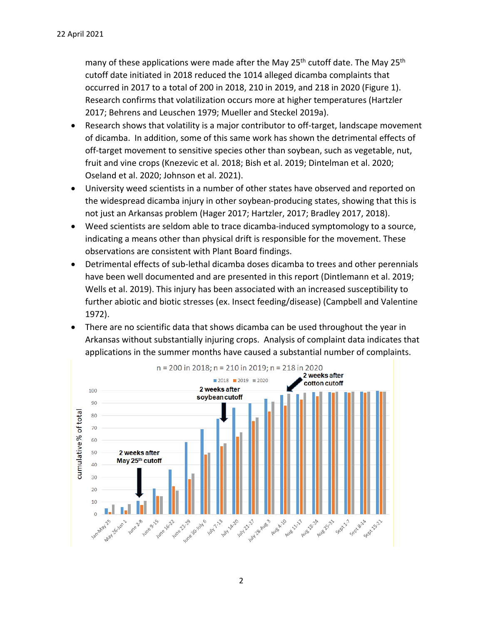many of these applications were made after the May 25<sup>th</sup> cutoff date. The May 25<sup>th</sup> cutoff date initiated in 2018 reduced the 1014 alleged dicamba complaints that occurred in 2017 to a total of 200 in 2018, 210 in 2019, and 218 in 2020 (Figure 1). Research confirms that volatilization occurs more at higher temperatures (Hartzler 2017; Behrens and Leuschen 1979; Mueller and Steckel 2019a).

- Research shows that volatility is a major contributor to off-target, landscape movement of dicamba. In addition, some of this same work has shown the detrimental effects of off-target movement to sensitive species other than soybean, such as vegetable, nut, fruit and vine crops (Knezevic et al. 2018; Bish et al. 2019; Dintelman et al. 2020; Oseland et al. 2020; Johnson et al. 2021).
- University weed scientists in a number of other states have observed and reported on the widespread dicamba injury in other soybean‐producing states, showing that this is not just an Arkansas problem (Hager 2017; Hartzler, 2017; Bradley 2017, 2018).
- Weed scientists are seldom able to trace dicamba-induced symptomology to a source, indicating a means other than physical drift is responsible for the movement. These observations are consistent with Plant Board findings.
- Detrimental effects of sub-lethal dicamba doses dicamba to trees and other perennials have been well documented and are presented in this report (Dintlemann et al. 2019; Wells et al. 2019). This injury has been associated with an increased susceptibility to further abiotic and biotic stresses (ex. Insect feeding/disease) (Campbell and Valentine 1972).
- There are no scientific data that shows dicamba can be used throughout the year in Arkansas without substantially injuring crops. Analysis of complaint data indicates that applications in the summer months have caused a substantial number of complaints.

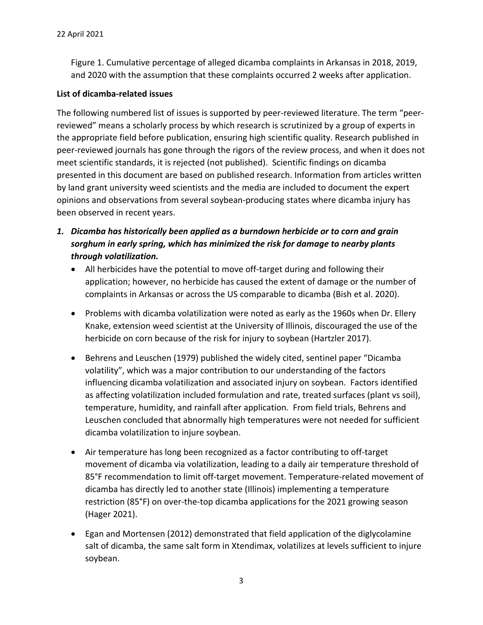Figure 1. Cumulative percentage of alleged dicamba complaints in Arkansas in 2018, 2019, and 2020 with the assumption that these complaints occurred 2 weeks after application.

### **List of dicamba‐related issues**

The following numbered list of issues is supported by peer‐reviewed literature. The term "peer‐ reviewed" means a scholarly process by which research is scrutinized by a group of experts in the appropriate field before publication, ensuring high scientific quality. Research published in peer-reviewed journals has gone through the rigors of the review process, and when it does not meet scientific standards, it is rejected (not published). Scientific findings on dicamba presented in this document are based on published research. Information from articles written by land grant university weed scientists and the media are included to document the expert opinions and observations from several soybean‐producing states where dicamba injury has been observed in recent years.

- *1. Dicamba has historically been applied as a burndown herbicide or to corn and grain sorghum in early spring, which has minimized the risk for damage to nearby plants through volatilization.*
	- All herbicides have the potential to move off-target during and following their application; however, no herbicide has caused the extent of damage or the number of complaints in Arkansas or across the US comparable to dicamba (Bish et al. 2020).
	- Problems with dicamba volatilization were noted as early as the 1960s when Dr. Ellery Knake, extension weed scientist at the University of Illinois, discouraged the use of the herbicide on corn because of the risk for injury to soybean (Hartzler 2017).
	- Behrens and Leuschen (1979) published the widely cited, sentinel paper "Dicamba volatility", which was a major contribution to our understanding of the factors influencing dicamba volatilization and associated injury on soybean. Factors identified as affecting volatilization included formulation and rate, treated surfaces (plant vs soil), temperature, humidity, and rainfall after application. From field trials, Behrens and Leuschen concluded that abnormally high temperatures were not needed for sufficient dicamba volatilization to injure soybean.
	- Air temperature has long been recognized as a factor contributing to off-target movement of dicamba via volatilization, leading to a daily air temperature threshold of 85°F recommendation to limit off-target movement. Temperature-related movement of dicamba has directly led to another state (Illinois) implementing a temperature restriction (85°F) on over-the-top dicamba applications for the 2021 growing season (Hager 2021).
	- Egan and Mortensen (2012) demonstrated that field application of the diglycolamine salt of dicamba, the same salt form in Xtendimax, volatilizes at levels sufficient to injure soybean.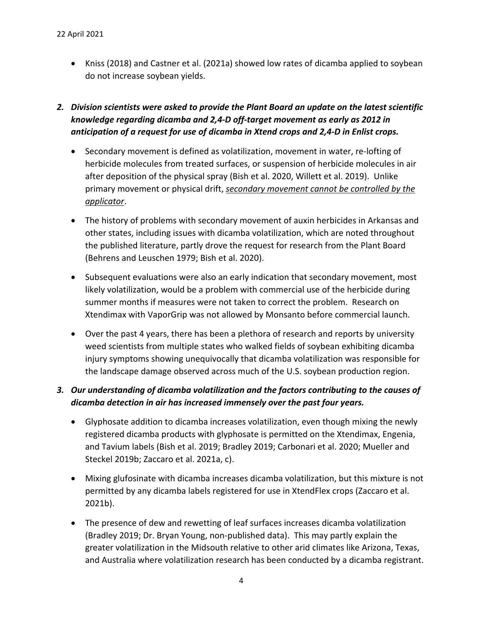Kniss (2018) and Castner et al. (2021a) showed low rates of dicamba applied to soybean do not increase soybean yields.

# *2. Division scientists were asked to provide the Plant Board an update on the latest scientific knowledge regarding dicamba and 2,4‐D off‐target movement as early as 2012 in anticipation of a request for use of dicamba in Xtend crops and 2,4‐D in Enlist crops.*

- Secondary movement is defined as volatilization, movement in water, re-lofting of herbicide molecules from treated surfaces, or suspension of herbicide molecules in air after deposition of the physical spray (Bish et al. 2020, Willett et al. 2019). Unlike primary movement or physical drift, *secondary movement cannot be controlled by the applicator*.
- The history of problems with secondary movement of auxin herbicides in Arkansas and other states, including issues with dicamba volatilization, which are noted throughout the published literature, partly drove the request for research from the Plant Board (Behrens and Leuschen 1979; Bish et al. 2020).
- Subsequent evaluations were also an early indication that secondary movement, most likely volatilization, would be a problem with commercial use of the herbicide during summer months if measures were not taken to correct the problem. Research on Xtendimax with VaporGrip was not allowed by Monsanto before commercial launch.
- Over the past 4 years, there has been a plethora of research and reports by university weed scientists from multiple states who walked fields of soybean exhibiting dicamba injury symptoms showing unequivocally that dicamba volatilization was responsible for the landscape damage observed across much of the U.S. soybean production region.

# *3. Our understanding of dicamba volatilization and the factors contributing to the causes of dicamba detection in air has increased immensely over the past four years.*

- Glyphosate addition to dicamba increases volatilization, even though mixing the newly registered dicamba products with glyphosate is permitted on the Xtendimax, Engenia, and Tavium labels (Bish et al. 2019; Bradley 2019; Carbonari et al. 2020; Mueller and Steckel 2019b; Zaccaro et al. 2021a, c).
- Mixing glufosinate with dicamba increases dicamba volatilization, but this mixture is not permitted by any dicamba labels registered for use in XtendFlex crops (Zaccaro et al. 2021b).
- The presence of dew and rewetting of leaf surfaces increases dicamba volatilization (Bradley 2019; Dr. Bryan Young, non‐published data). This may partly explain the greater volatilization in the Midsouth relative to other arid climates like Arizona, Texas, and Australia where volatilization research has been conducted by a dicamba registrant.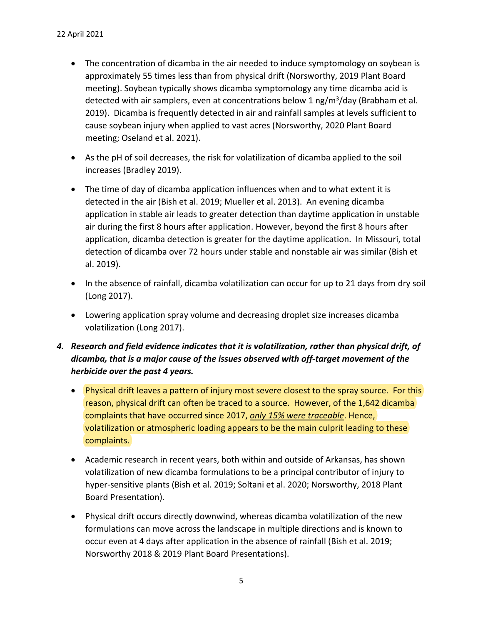- The concentration of dicamba in the air needed to induce symptomology on soybean is approximately 55 times less than from physical drift (Norsworthy, 2019 Plant Board meeting). Soybean typically shows dicamba symptomology any time dicamba acid is detected with air samplers, even at concentrations below 1  $\frac{mg}{m^3}$ /day (Brabham et al. 2019). Dicamba is frequently detected in air and rainfall samples at levels sufficient to cause soybean injury when applied to vast acres (Norsworthy, 2020 Plant Board meeting; Oseland et al. 2021).
- As the pH of soil decreases, the risk for volatilization of dicamba applied to the soil increases (Bradley 2019).
- The time of day of dicamba application influences when and to what extent it is detected in the air (Bish et al. 2019; Mueller et al. 2013). An evening dicamba application in stable air leads to greater detection than daytime application in unstable air during the first 8 hours after application. However, beyond the first 8 hours after application, dicamba detection is greater for the daytime application. In Missouri, total detection of dicamba over 72 hours under stable and nonstable air was similar (Bish et al. 2019).
- In the absence of rainfall, dicamba volatilization can occur for up to 21 days from dry soil (Long 2017).
- Lowering application spray volume and decreasing droplet size increases dicamba volatilization (Long 2017).
- *4. Research and field evidence indicates that it is volatilization, rather than physical drift, of dicamba, that is a major cause of the issues observed with off‐target movement of the herbicide over the past 4 years.*
	- Physical drift leaves a pattern of injury most severe closest to the spray source. For this reason, physical drift can often be traced to a source. However, of the 1,642 dicamba complaints that have occurred since 2017, *only 15% were traceable*. Hence, volatilization or atmospheric loading appears to be the main culprit leading to these complaints.
	- Academic research in recent years, both within and outside of Arkansas, has shown volatilization of new dicamba formulations to be a principal contributor of injury to hyper‐sensitive plants (Bish et al. 2019; Soltani et al. 2020; Norsworthy, 2018 Plant Board Presentation).
	- Physical drift occurs directly downwind, whereas dicamba volatilization of the new formulations can move across the landscape in multiple directions and is known to occur even at 4 days after application in the absence of rainfall (Bish et al. 2019; Norsworthy 2018 & 2019 Plant Board Presentations).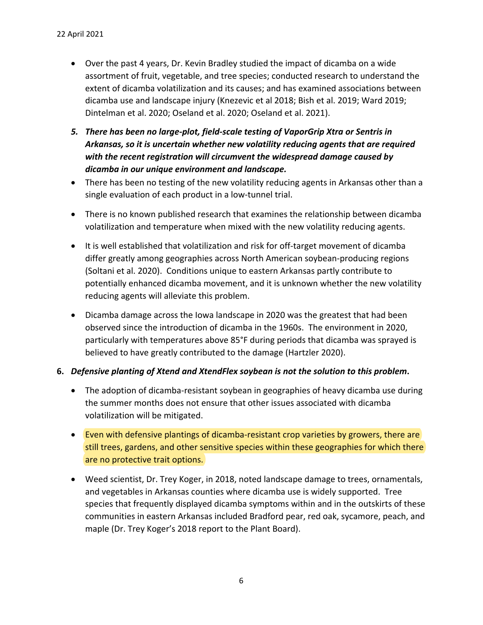- Over the past 4 years, Dr. Kevin Bradley studied the impact of dicamba on a wide assortment of fruit, vegetable, and tree species; conducted research to understand the extent of dicamba volatilization and its causes; and has examined associations between dicamba use and landscape injury (Knezevic et al 2018; Bish et al. 2019; Ward 2019; Dintelman et al. 2020; Oseland et al. 2020; Oseland et al. 2021).
- *5. There has been no large‐plot, field‐scale testing of VaporGrip Xtra or Sentris in Arkansas, so it is uncertain whether new volatility reducing agents that are required with the recent registration will circumvent the widespread damage caused by dicamba in our unique environment and landscape.*
- There has been no testing of the new volatility reducing agents in Arkansas other than a single evaluation of each product in a low-tunnel trial.
- There is no known published research that examines the relationship between dicamba volatilization and temperature when mixed with the new volatility reducing agents.
- It is well established that volatilization and risk for off-target movement of dicamba differ greatly among geographies across North American soybean‐producing regions (Soltani et al. 2020). Conditions unique to eastern Arkansas partly contribute to potentially enhanced dicamba movement, and it is unknown whether the new volatility reducing agents will alleviate this problem.
- Dicamba damage across the Iowa landscape in 2020 was the greatest that had been observed since the introduction of dicamba in the 1960s. The environment in 2020, particularly with temperatures above 85°F during periods that dicamba was sprayed is believed to have greatly contributed to the damage (Hartzler 2020).

### **6.** *Defensive planting of Xtend and XtendFlex soybean is not the solution to this problem***.**

- The adoption of dicamba-resistant soybean in geographies of heavy dicamba use during the summer months does not ensure that other issues associated with dicamba volatilization will be mitigated.
- Even with defensive plantings of dicamba-resistant crop varieties by growers, there are still trees, gardens, and other sensitive species within these geographies for which there are no protective trait options.
- Weed scientist, Dr. Trey Koger, in 2018, noted landscape damage to trees, ornamentals, and vegetables in Arkansas counties where dicamba use is widely supported. Tree species that frequently displayed dicamba symptoms within and in the outskirts of these communities in eastern Arkansas included Bradford pear, red oak, sycamore, peach, and maple (Dr. Trey Koger's 2018 report to the Plant Board).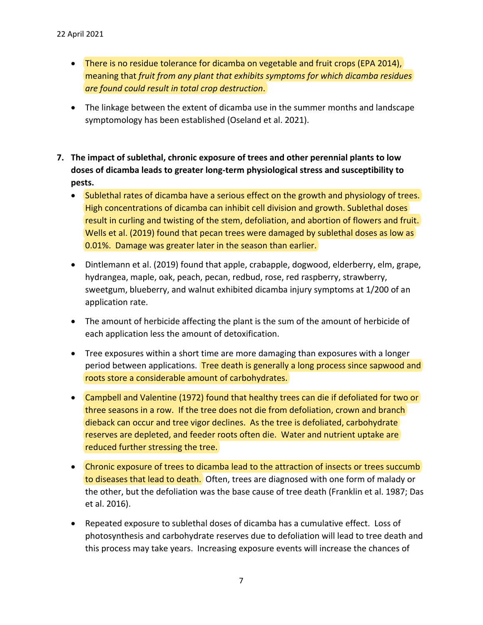- There is no residue tolerance for dicamba on vegetable and fruit crops (EPA 2014), meaning that *fruit from any plant that exhibits symptoms for which dicamba residues are found could result in total crop destruction*.
- The linkage between the extent of dicamba use in the summer months and landscape symptomology has been established (Oseland et al. 2021).
- **7. The impact of sublethal, chronic exposure of trees and other perennial plants to low doses of dicamba leads to greater long‐term physiological stress and susceptibility to pests.**
	- Sublethal rates of dicamba have a serious effect on the growth and physiology of trees. High concentrations of dicamba can inhibit cell division and growth. Sublethal doses result in curling and twisting of the stem, defoliation, and abortion of flowers and fruit. Wells et al. (2019) found that pecan trees were damaged by sublethal doses as low as 0.01%. Damage was greater later in the season than earlier.
	- Dintlemann et al. (2019) found that apple, crabapple, dogwood, elderberry, elm, grape, hydrangea, maple, oak, peach, pecan, redbud, rose, red raspberry, strawberry, sweetgum, blueberry, and walnut exhibited dicamba injury symptoms at 1/200 of an application rate.
	- The amount of herbicide affecting the plant is the sum of the amount of herbicide of each application less the amount of detoxification.
	- Tree exposures within a short time are more damaging than exposures with a longer period between applications. Tree death is generally a long process since sapwood and roots store a considerable amount of carbohydrates.
	- Campbell and Valentine (1972) found that healthy trees can die if defoliated for two or three seasons in a row. If the tree does not die from defoliation, crown and branch dieback can occur and tree vigor declines. As the tree is defoliated, carbohydrate reserves are depleted, and feeder roots often die. Water and nutrient uptake are reduced further stressing the tree.
	- Chronic exposure of trees to dicamba lead to the attraction of insects or trees succumb to diseases that lead to death. Often, trees are diagnosed with one form of malady or the other, but the defoliation was the base cause of tree death (Franklin et al. 1987; Das et al. 2016).
	- Repeated exposure to sublethal doses of dicamba has a cumulative effect. Loss of photosynthesis and carbohydrate reserves due to defoliation will lead to tree death and this process may take years. Increasing exposure events will increase the chances of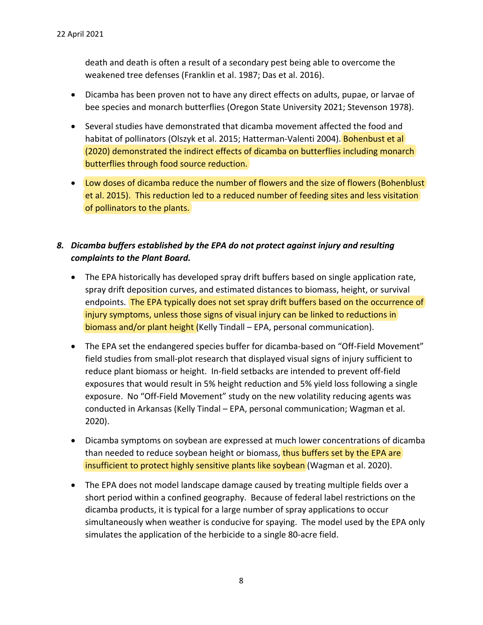death and death is often a result of a secondary pest being able to overcome the weakened tree defenses (Franklin et al. 1987; Das et al. 2016).

- Dicamba has been proven not to have any direct effects on adults, pupae, or larvae of bee species and monarch butterflies (Oregon State University 2021; Stevenson 1978).
- Several studies have demonstrated that dicamba movement affected the food and habitat of pollinators (Olszyk et al. 2015; Hatterman-Valenti 2004). Bohenbust et al (2020) demonstrated the indirect effects of dicamba on butterflies including monarch butterflies through food source reduction.
- Low doses of dicamba reduce the number of flowers and the size of flowers (Bohenblust et al. 2015). This reduction led to a reduced number of feeding sites and less visitation of pollinators to the plants.

# *8. Dicamba buffers established by the EPA do not protect against injury and resulting complaints to the Plant Board.*

- The EPA historically has developed spray drift buffers based on single application rate, spray drift deposition curves, and estimated distances to biomass, height, or survival endpoints. The EPA typically does not set spray drift buffers based on the occurrence of injury symptoms, unless those signs of visual injury can be linked to reductions in biomass and/or plant height (Kelly Tindall – EPA, personal communication).
- The EPA set the endangered species buffer for dicamba‐based on "Off‐Field Movement" field studies from small-plot research that displayed visual signs of injury sufficient to reduce plant biomass or height. In‐field setbacks are intended to prevent off‐field exposures that would result in 5% height reduction and 5% yield loss following a single exposure. No "Off‐Field Movement" study on the new volatility reducing agents was conducted in Arkansas (Kelly Tindal – EPA, personal communication; Wagman et al. 2020).
- Dicamba symptoms on soybean are expressed at much lower concentrations of dicamba than needed to reduce soybean height or biomass, thus buffers set by the EPA are insufficient to protect highly sensitive plants like soybean (Wagman et al. 2020).
- The EPA does not model landscape damage caused by treating multiple fields over a short period within a confined geography. Because of federal label restrictions on the dicamba products, it is typical for a large number of spray applications to occur simultaneously when weather is conducive for spaying. The model used by the EPA only simulates the application of the herbicide to a single 80‐acre field.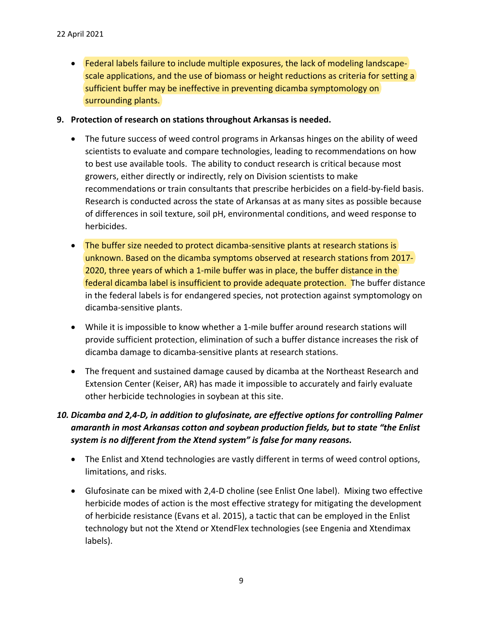- Federal labels failure to include multiple exposures, the lack of modeling landscapescale applications, and the use of biomass or height reductions as criteria for setting a sufficient buffer may be ineffective in preventing dicamba symptomology on surrounding plants.
- **9. Protection of research on stations throughout Arkansas is needed.** 
	- The future success of weed control programs in Arkansas hinges on the ability of weed scientists to evaluate and compare technologies, leading to recommendations on how to best use available tools. The ability to conduct research is critical because most growers, either directly or indirectly, rely on Division scientists to make recommendations or train consultants that prescribe herbicides on a field-by-field basis. Research is conducted across the state of Arkansas at as many sites as possible because of differences in soil texture, soil pH, environmental conditions, and weed response to herbicides.
	- The buffer size needed to protect dicamba-sensitive plants at research stations is unknown. Based on the dicamba symptoms observed at research stations from 2017‐ 2020, three years of which a 1‐mile buffer was in place, the buffer distance in the federal dicamba label is insufficient to provide adequate protection. The buffer distance in the federal labels is for endangered species, not protection against symptomology on dicamba‐sensitive plants.
	- While it is impossible to know whether a 1-mile buffer around research stations will provide sufficient protection, elimination of such a buffer distance increases the risk of dicamba damage to dicamba‐sensitive plants at research stations.
	- The frequent and sustained damage caused by dicamba at the Northeast Research and Extension Center (Keiser, AR) has made it impossible to accurately and fairly evaluate other herbicide technologies in soybean at this site.
- *10. Dicamba and 2,4‐D, in addition to glufosinate, are effective options for controlling Palmer amaranth in most Arkansas cotton and soybean production fields, but to state "the Enlist system is no different from the Xtend system" is false for many reasons.* 
	- The Enlist and Xtend technologies are vastly different in terms of weed control options, limitations, and risks.
	- Glufosinate can be mixed with 2,4‐D choline (see Enlist One label). Mixing two effective herbicide modes of action is the most effective strategy for mitigating the development of herbicide resistance (Evans et al. 2015), a tactic that can be employed in the Enlist technology but not the Xtend or XtendFlex technologies (see Engenia and Xtendimax labels).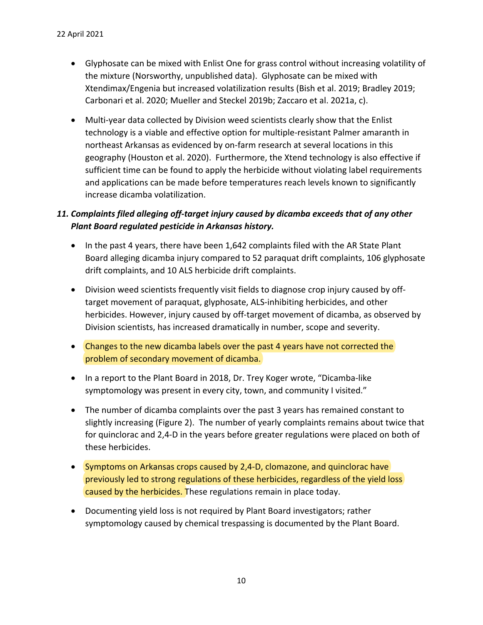- Glyphosate can be mixed with Enlist One for grass control without increasing volatility of the mixture (Norsworthy, unpublished data). Glyphosate can be mixed with Xtendimax/Engenia but increased volatilization results (Bish et al. 2019; Bradley 2019; Carbonari et al. 2020; Mueller and Steckel 2019b; Zaccaro et al. 2021a, c).
- Multi-year data collected by Division weed scientists clearly show that the Enlist technology is a viable and effective option for multiple‐resistant Palmer amaranth in northeast Arkansas as evidenced by on‐farm research at several locations in this geography (Houston et al. 2020). Furthermore, the Xtend technology is also effective if sufficient time can be found to apply the herbicide without violating label requirements and applications can be made before temperatures reach levels known to significantly increase dicamba volatilization.

# *11. Complaints filed alleging off‐target injury caused by dicamba exceeds that of any other Plant Board regulated pesticide in Arkansas history.*

- In the past 4 years, there have been 1,642 complaints filed with the AR State Plant Board alleging dicamba injury compared to 52 paraquat drift complaints, 106 glyphosate drift complaints, and 10 ALS herbicide drift complaints.
- Division weed scientists frequently visit fields to diagnose crop injury caused by offtarget movement of paraquat, glyphosate, ALS‐inhibiting herbicides, and other herbicides. However, injury caused by off‐target movement of dicamba, as observed by Division scientists, has increased dramatically in number, scope and severity.
- Changes to the new dicamba labels over the past 4 years have not corrected the problem of secondary movement of dicamba.
- In a report to the Plant Board in 2018, Dr. Trey Koger wrote, "Dicamba-like symptomology was present in every city, town, and community I visited."
- The number of dicamba complaints over the past 3 years has remained constant to slightly increasing (Figure 2). The number of yearly complaints remains about twice that for quinclorac and 2,4‐D in the years before greater regulations were placed on both of these herbicides.
- Symptoms on Arkansas crops caused by 2,4-D, clomazone, and quinclorac have previously led to strong regulations of these herbicides, regardless of the yield loss caused by the herbicides. These regulations remain in place today.
- Documenting yield loss is not required by Plant Board investigators; rather symptomology caused by chemical trespassing is documented by the Plant Board.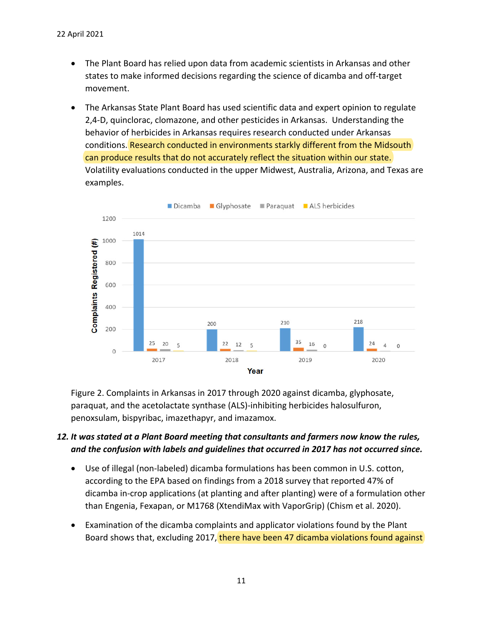- The Plant Board has relied upon data from academic scientists in Arkansas and other states to make informed decisions regarding the science of dicamba and off‐target movement.
- The Arkansas State Plant Board has used scientific data and expert opinion to regulate 2,4‐D, quinclorac, clomazone, and other pesticides in Arkansas. Understanding the behavior of herbicides in Arkansas requires research conducted under Arkansas conditions. Research conducted in environments starkly different from the Midsouth can produce results that do not accurately reflect the situation within our state. Volatility evaluations conducted in the upper Midwest, Australia, Arizona, and Texas are examples.



Figure 2. Complaints in Arkansas in 2017 through 2020 against dicamba, glyphosate, paraquat, and the acetolactate synthase (ALS)‐inhibiting herbicides halosulfuron, penoxsulam, bispyribac, imazethapyr, and imazamox.

### *12. It was stated at a Plant Board meeting that consultants and farmers now know the rules, and the confusion with labels and guidelines that occurred in 2017 has not occurred since.*

- Use of illegal (non-labeled) dicamba formulations has been common in U.S. cotton, according to the EPA based on findings from a 2018 survey that reported 47% of dicamba in‐crop applications (at planting and after planting) were of a formulation other than Engenia, Fexapan, or M1768 (XtendiMax with VaporGrip) (Chism et al. 2020).
- Examination of the dicamba complaints and applicator violations found by the Plant Board shows that, excluding 2017, there have been 47 dicamba violations found against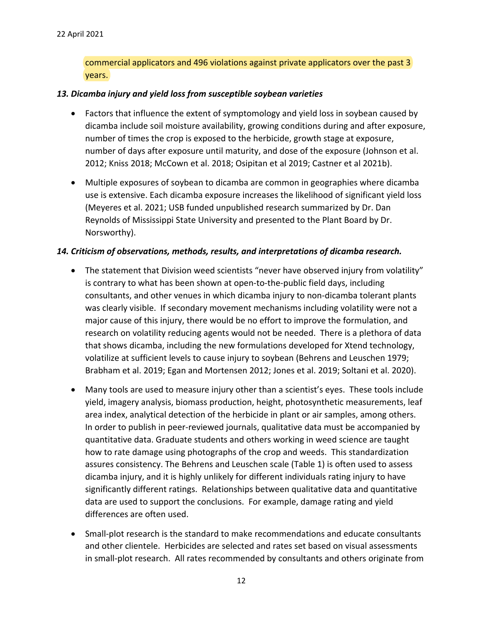commercial applicators and 496 violations against private applicators over the past 3 years.

#### *13. Dicamba injury and yield loss from susceptible soybean varieties*

- Factors that influence the extent of symptomology and yield loss in soybean caused by dicamba include soil moisture availability, growing conditions during and after exposure, number of times the crop is exposed to the herbicide, growth stage at exposure, number of days after exposure until maturity, and dose of the exposure (Johnson et al. 2012; Kniss 2018; McCown et al. 2018; Osipitan et al 2019; Castner et al 2021b).
- Multiple exposures of soybean to dicamba are common in geographies where dicamba use is extensive. Each dicamba exposure increases the likelihood of significant yield loss (Meyeres et al. 2021; USB funded unpublished research summarized by Dr. Dan Reynolds of Mississippi State University and presented to the Plant Board by Dr. Norsworthy).

#### *14. Criticism of observations, methods, results, and interpretations of dicamba research.*

- The statement that Division weed scientists "never have observed injury from volatility" is contrary to what has been shown at open‐to‐the‐public field days, including consultants, and other venues in which dicamba injury to non‐dicamba tolerant plants was clearly visible. If secondary movement mechanisms including volatility were not a major cause of this injury, there would be no effort to improve the formulation, and research on volatility reducing agents would not be needed. There is a plethora of data that shows dicamba, including the new formulations developed for Xtend technology, volatilize at sufficient levels to cause injury to soybean (Behrens and Leuschen 1979; Brabham et al. 2019; Egan and Mortensen 2012; Jones et al. 2019; Soltani et al. 2020).
- Many tools are used to measure injury other than a scientist's eyes. These tools include yield, imagery analysis, biomass production, height, photosynthetic measurements, leaf area index, analytical detection of the herbicide in plant or air samples, among others. In order to publish in peer‐reviewed journals, qualitative data must be accompanied by quantitative data. Graduate students and others working in weed science are taught how to rate damage using photographs of the crop and weeds. This standardization assures consistency. The Behrens and Leuschen scale (Table 1) is often used to assess dicamba injury, and it is highly unlikely for different individuals rating injury to have significantly different ratings. Relationships between qualitative data and quantitative data are used to support the conclusions. For example, damage rating and yield differences are often used.
- Small-plot research is the standard to make recommendations and educate consultants and other clientele. Herbicides are selected and rates set based on visual assessments in small‐plot research. All rates recommended by consultants and others originate from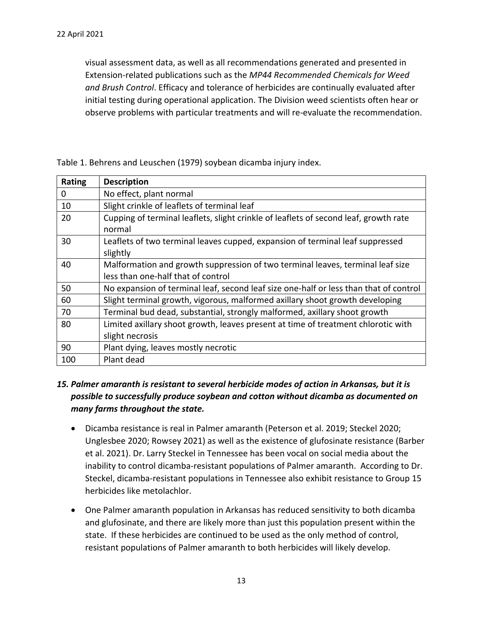visual assessment data, as well as all recommendations generated and presented in Extension‐related publications such as the *MP44 Recommended Chemicals for Weed and Brush Control*. Efficacy and tolerance of herbicides are continually evaluated after initial testing during operational application. The Division weed scientists often hear or observe problems with particular treatments and will re‐evaluate the recommendation.

| Rating   | <b>Description</b>                                                                    |
|----------|---------------------------------------------------------------------------------------|
| $\Omega$ | No effect, plant normal                                                               |
| 10       | Slight crinkle of leaflets of terminal leaf                                           |
| 20       | Cupping of terminal leaflets, slight crinkle of leaflets of second leaf, growth rate  |
|          | normal                                                                                |
| 30       | Leaflets of two terminal leaves cupped, expansion of terminal leaf suppressed         |
|          | slightly                                                                              |
| 40       | Malformation and growth suppression of two terminal leaves, terminal leaf size        |
|          | less than one-half that of control                                                    |
| 50       | No expansion of terminal leaf, second leaf size one-half or less than that of control |
| 60       | Slight terminal growth, vigorous, malformed axillary shoot growth developing          |
| 70       | Terminal bud dead, substantial, strongly malformed, axillary shoot growth             |
| 80       | Limited axillary shoot growth, leaves present at time of treatment chlorotic with     |
|          | slight necrosis                                                                       |
| 90       | Plant dying, leaves mostly necrotic                                                   |
| 100      | Plant dead                                                                            |

Table 1. Behrens and Leuschen (1979) soybean dicamba injury index.

### *15. Palmer amaranth is resistant to several herbicide modes of action in Arkansas, but it is possible to successfully produce soybean and cotton without dicamba as documented on many farms throughout the state.*

- Dicamba resistance is real in Palmer amaranth (Peterson et al. 2019; Steckel 2020; Unglesbee 2020; Rowsey 2021) as well as the existence of glufosinate resistance (Barber et al. 2021). Dr. Larry Steckel in Tennessee has been vocal on social media about the inability to control dicamba‐resistant populations of Palmer amaranth. According to Dr. Steckel, dicamba‐resistant populations in Tennessee also exhibit resistance to Group 15 herbicides like metolachlor.
- One Palmer amaranth population in Arkansas has reduced sensitivity to both dicamba and glufosinate, and there are likely more than just this population present within the state. If these herbicides are continued to be used as the only method of control, resistant populations of Palmer amaranth to both herbicides will likely develop.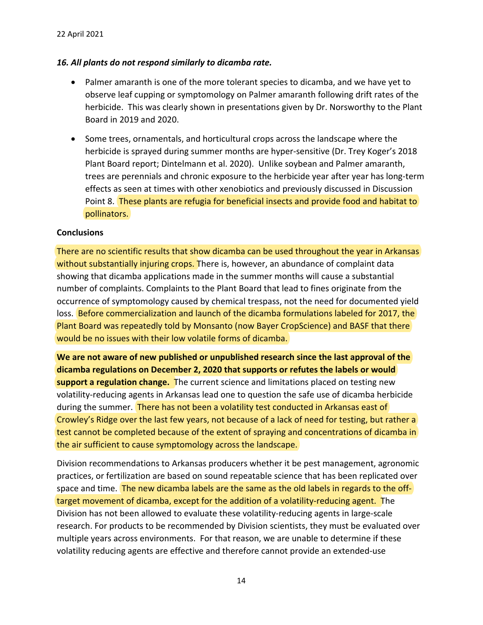### *16. All plants do not respond similarly to dicamba rate.*

- Palmer amaranth is one of the more tolerant species to dicamba, and we have yet to observe leaf cupping or symptomology on Palmer amaranth following drift rates of the herbicide. This was clearly shown in presentations given by Dr. Norsworthy to the Plant Board in 2019 and 2020.
- Some trees, ornamentals, and horticultural crops across the landscape where the herbicide is sprayed during summer months are hyper‐sensitive (Dr. Trey Koger's 2018 Plant Board report; Dintelmann et al. 2020). Unlike soybean and Palmer amaranth, trees are perennials and chronic exposure to the herbicide year after year has long‐term effects as seen at times with other xenobiotics and previously discussed in Discussion Point 8. These plants are refugia for beneficial insects and provide food and habitat to pollinators.

#### **Conclusions**

There are no scientific results that show dicamba can be used throughout the year in Arkansas without substantially injuring crops. There is, however, an abundance of complaint data showing that dicamba applications made in the summer months will cause a substantial number of complaints. Complaints to the Plant Board that lead to fines originate from the occurrence of symptomology caused by chemical trespass, not the need for documented yield loss. Before commercialization and launch of the dicamba formulations labeled for 2017, the Plant Board was repeatedly told by Monsanto (now Bayer CropScience) and BASF that there would be no issues with their low volatile forms of dicamba.

**We are not aware of new published or unpublished research since the last approval of the dicamba regulations on December 2, 2020 that supports or refutes the labels or would support a regulation change.** The current science and limitations placed on testing new volatility‐reducing agents in Arkansas lead one to question the safe use of dicamba herbicide during the summer. There has not been a volatility test conducted in Arkansas east of Crowley's Ridge over the last few years, not because of a lack of need for testing, but rather a test cannot be completed because of the extent of spraying and concentrations of dicamba in the air sufficient to cause symptomology across the landscape.

Division recommendations to Arkansas producers whether it be pest management, agronomic practices, or fertilization are based on sound repeatable science that has been replicated over space and time. The new dicamba labels are the same as the old labels in regards to the offtarget movement of dicamba, except for the addition of a volatility-reducing agent. The Division has not been allowed to evaluate these volatility‐reducing agents in large‐scale research. For products to be recommended by Division scientists, they must be evaluated over multiple years across environments. For that reason, we are unable to determine if these volatility reducing agents are effective and therefore cannot provide an extended‐use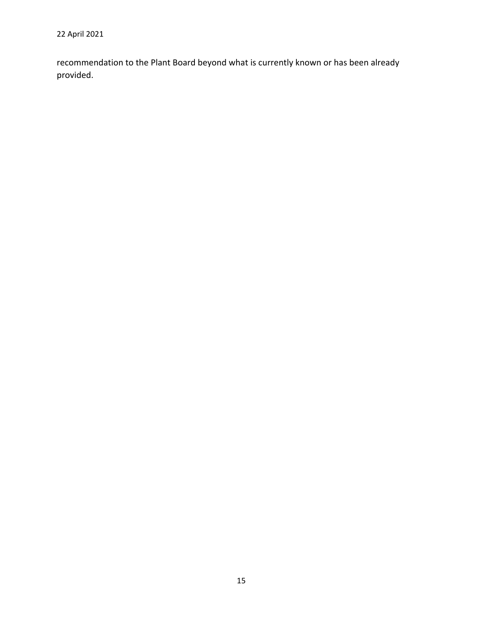recommendation to the Plant Board beyond what is currently known or has been already provided.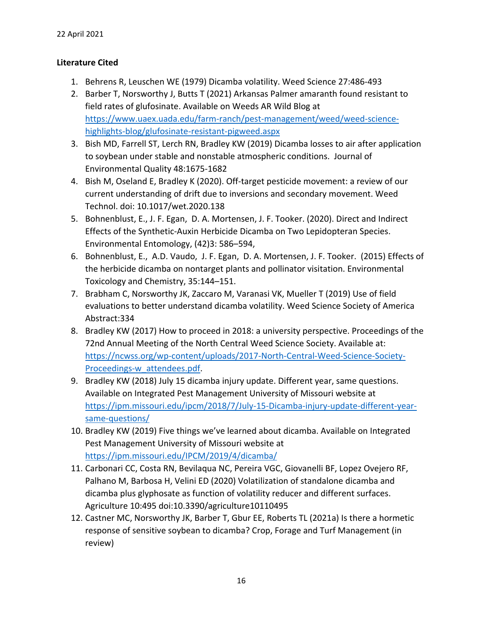### **Literature Cited**

- 1. Behrens R, Leuschen WE (1979) Dicamba volatility. Weed Science 27:486‐493
- 2. Barber T, Norsworthy J, Butts T (2021) Arkansas Palmer amaranth found resistant to field rates of glufosinate. Available on Weeds AR Wild Blog at https://www.uaex.uada.edu/farm‐ranch/pest‐management/weed/weed‐science‐ highlights‐blog/glufosinate‐resistant‐pigweed.aspx
- 3. Bish MD, Farrell ST, Lerch RN, Bradley KW (2019) Dicamba losses to air after application to soybean under stable and nonstable atmospheric conditions. Journal of Environmental Quality 48:1675‐1682
- 4. Bish M, Oseland E, Bradley K (2020). Off‐target pesticide movement: a review of our current understanding of drift due to inversions and secondary movement. Weed Technol. doi: 10.1017/wet.2020.138
- 5. Bohnenblust, E., J. F. Egan, D. A. Mortensen, J. F. Tooker. (2020). Direct and Indirect Effects of the Synthetic‐Auxin Herbicide Dicamba on Two Lepidopteran Species. Environmental Entomology, (42)3: 586–594,
- 6. Bohnenblust, E., A.D. Vaudo, J. F. Egan, D. A. Mortensen, J. F. Tooker. (2015) Effects of the herbicide dicamba on nontarget plants and pollinator visitation. Environmental Toxicology and Chemistry, 35:144–151.
- 7. Brabham C, Norsworthy JK, Zaccaro M, Varanasi VK, Mueller T (2019) Use of field evaluations to better understand dicamba volatility. Weed Science Society of America Abstract:334
- 8. Bradley KW (2017) How to proceed in 2018: a university perspective. Proceedings of the 72nd Annual Meeting of the North Central Weed Science Society. Available at: https://ncwss.org/wp-content/uploads/2017-North-Central-Weed-Science-Society-Proceedings-w attendees.pdf.
- 9. Bradley KW (2018) July 15 dicamba injury update. Different year, same questions. Available on Integrated Pest Management University of Missouri website at https://ipm.missouri.edu/ipcm/2018/7/July‐15‐Dicamba‐injury‐update‐different‐year‐ same‐questions/
- 10. Bradley KW (2019) Five things we've learned about dicamba. Available on Integrated Pest Management University of Missouri website at https://ipm.missouri.edu/IPCM/2019/4/dicamba/
- 11. Carbonari CC, Costa RN, Bevilaqua NC, Pereira VGC, Giovanelli BF, Lopez Ovejero RF, Palhano M, Barbosa H, Velini ED (2020) Volatilization of standalone dicamba and dicamba plus glyphosate as function of volatility reducer and different surfaces. Agriculture 10:495 doi:10.3390/agriculture10110495
- 12. Castner MC, Norsworthy JK, Barber T, Gbur EE, Roberts TL (2021a) Is there a hormetic response of sensitive soybean to dicamba? Crop, Forage and Turf Management (in review)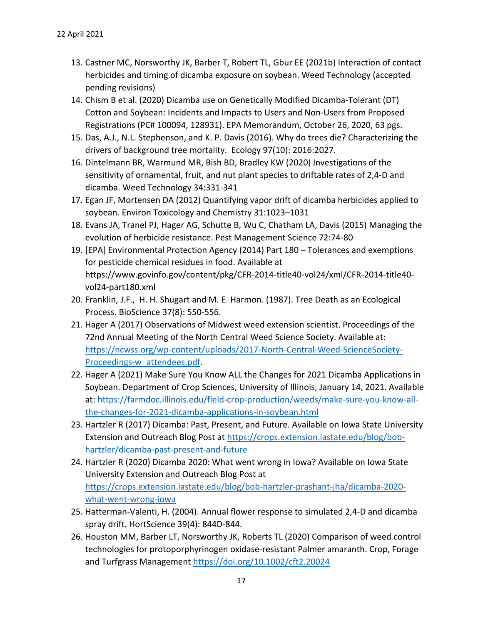- 13. Castner MC, Norsworthy JK, Barber T, Robert TL, Gbur EE (2021b) Interaction of contact herbicides and timing of dicamba exposure on soybean. Weed Technology (accepted pending revisions)
- 14. Chism B et al. (2020) Dicamba use on Genetically Modified Dicamba‐Tolerant (DT) Cotton and Soybean: Incidents and Impacts to Users and Non‐Users from Proposed Registrations (PC# 100094, 128931). EPA Memorandum, October 26, 2020, 63 pgs.
- 15. Das, A.J., N.L. Stephenson, and K. P. Davis (2016). Why do trees die? Characterizing the drivers of background tree mortality. Ecology 97(10): 2016:2027.
- 16. Dintelmann BR, Warmund MR, Bish BD, Bradley KW (2020) Investigations of the sensitivity of ornamental, fruit, and nut plant species to driftable rates of 2,4‐D and dicamba. Weed Technology 34:331‐341
- 17. Egan JF, Mortensen DA (2012) Quantifying vapor drift of dicamba herbicides applied to soybean. Environ Toxicology and Chemistry 31:1023–1031
- 18. Evans JA, Tranel PJ, Hager AG, Schutte B, Wu C, Chatham LA, Davis (2015) Managing the evolution of herbicide resistance. Pest Management Science 72:74‐80
- 19. [EPA] Environmental Protection Agency (2014) Part 180 Tolerances and exemptions for pesticide chemical residues in food. Available at https://www.govinfo.gov/content/pkg/CFR‐2014‐title40‐vol24/xml/CFR‐2014‐title40‐ vol24‐part180.xml
- 20. Franklin, J.F., H. H. Shugart and M. E. Harmon. (1987). Tree Death as an Ecological Process. BioScience 37(8): 550‐556.
- 21. Hager A (2017) Observations of Midwest weed extension scientist. Proceedings of the 72nd Annual Meeting of the North Central Weed Science Society. Available at: https://ncwss.org/wp-content/uploads/2017-North-Central-Weed-ScienceSociety-Proceedings‐w\_attendees.pdf.
- 22. Hager A (2021) Make Sure You Know ALL the Changes for 2021 Dicamba Applications in Soybean. Department of Crop Sciences, University of Illinois, January 14, 2021. Available at: https://farmdoc.illinois.edu/field‐crop‐production/weeds/make‐sure‐you‐know‐all‐ the‐changes‐for‐2021‐dicamba‐applications‐in‐soybean.html
- 23. Hartzler R (2017) Dicamba: Past, Present, and Future. Available on Iowa State University Extension and Outreach Blog Post at https://crops.extension.iastate.edu/blog/bob‐ hartzler/dicamba‐past‐present‐and‐future
- 24. Hartzler R (2020) Dicamba 2020: What went wrong in Iowa? Available on Iowa State University Extension and Outreach Blog Post at https://crops.extension.iastate.edu/blog/bob‐hartzler‐prashant‐jha/dicamba‐2020‐ what‐went‐wrong‐iowa
- 25. Hatterman‐Valenti, H. (2004). Annual flower response to simulated 2,4‐D and dicamba spray drift. HortScience 39(4): 844D‐844.
- 26. Houston MM, Barber LT, Norsworthy JK, Roberts TL (2020) Comparison of weed control technologies for protoporphyrinogen oxidase‐resistant Palmer amaranth. Crop, Forage and Turfgrass Management https://doi.org/10.1002/cft2.20024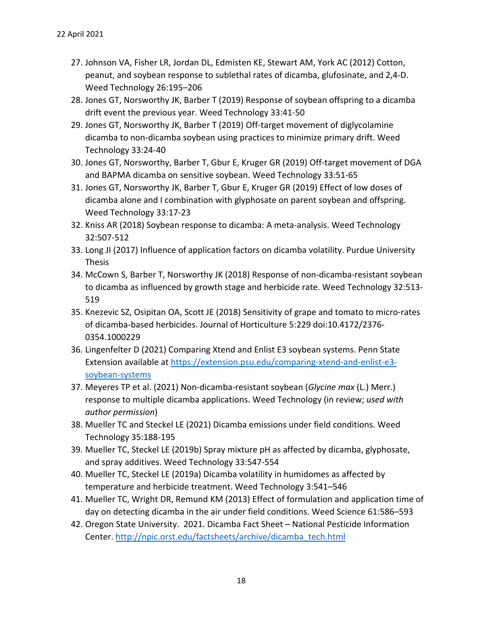- 27. Johnson VA, Fisher LR, Jordan DL, Edmisten KE, Stewart AM, York AC (2012) Cotton, peanut, and soybean response to sublethal rates of dicamba, glufosinate, and 2,4‐D. Weed Technology 26:195–206
- 28. Jones GT, Norsworthy JK, Barber T (2019) Response of soybean offspring to a dicamba drift event the previous year. Weed Technology 33:41‐50
- 29. Jones GT, Norsworthy JK, Barber T (2019) Off‐target movement of diglycolamine dicamba to non‐dicamba soybean using practices to minimize primary drift. Weed Technology 33:24‐40
- 30. Jones GT, Norsworthy, Barber T, Gbur E, Kruger GR (2019) Off‐target movement of DGA and BAPMA dicamba on sensitive soybean. Weed Technology 33:51‐65
- 31. Jones GT, Norsworthy JK, Barber T, Gbur E, Kruger GR (2019) Effect of low doses of dicamba alone and I combination with glyphosate on parent soybean and offspring. Weed Technology 33:17‐23
- 32. Kniss AR (2018) Soybean response to dicamba: A meta‐analysis. Weed Technology 32:507‐512
- 33. Long JI (2017) Influence of application factors on dicamba volatility. Purdue University **Thesis**
- 34. McCown S, Barber T, Norsworthy JK (2018) Response of non‐dicamba‐resistant soybean to dicamba as influenced by growth stage and herbicide rate. Weed Technology 32:513‐ 519
- 35. Knezevic SZ, Osipitan OA, Scott JE (2018) Sensitivity of grape and tomato to micro‐rates of dicamba‐based herbicides. Journal of Horticulture 5:229 doi:10.4172/2376‐ 0354.1000229
- 36. Lingenfelter D (2021) Comparing Xtend and Enlist E3 soybean systems. Penn State Extension available at https://extension.psu.edu/comparing-xtend-and-enlist-e3soybean‐systems
- 37. Meyeres TP et al. (2021) Non‐dicamba‐resistant soybean (*Glycine max* (L.) Merr.) response to multiple dicamba applications. Weed Technology (in review; *used with author permission*)
- 38. Mueller TC and Steckel LE (2021) Dicamba emissions under field conditions. Weed Technology 35:188‐195
- 39. Mueller TC, Steckel LE (2019b) Spray mixture pH as affected by dicamba, glyphosate, and spray additives. Weed Technology 33:547‐554
- 40. Mueller TC, Steckel LE (2019a) Dicamba volatility in humidomes as affected by temperature and herbicide treatment. Weed Technology 3:541–546
- 41. Mueller TC, Wright DR, Remund KM (2013) Effect of formulation and application time of day on detecting dicamba in the air under field conditions. Weed Science 61:586–593
- 42. Oregon State University. 2021. Dicamba Fact Sheet National Pesticide Information Center. http://npic.orst.edu/factsheets/archive/dicamba\_tech.html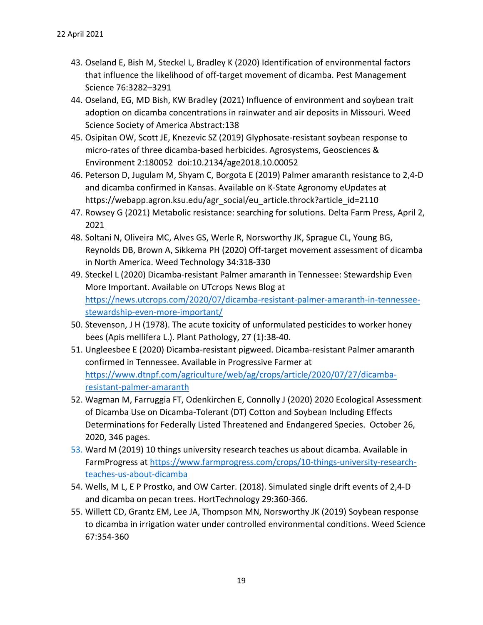- 43. Oseland E, Bish M, Steckel L, Bradley K (2020) Identification of environmental factors that influence the likelihood of off‐target movement of dicamba. Pest Management Science 76:3282–3291
- 44. Oseland, EG, MD Bish, KW Bradley (2021) Influence of environment and soybean trait adoption on dicamba concentrations in rainwater and air deposits in Missouri. Weed Science Society of America Abstract:138
- 45. Osipitan OW, Scott JE, Knezevic SZ (2019) Glyphosate‐resistant soybean response to micro-rates of three dicamba-based herbicides. Agrosystems, Geosciences & Environment 2:180052 doi:10.2134/age2018.10.00052
- 46. Peterson D, Jugulam M, Shyam C, Borgota E (2019) Palmer amaranth resistance to 2,4‐D and dicamba confirmed in Kansas. Available on K‐State Agronomy eUpdates at https://webapp.agron.ksu.edu/agr\_social/eu\_article.throck?article\_id=2110
- 47. Rowsey G (2021) Metabolic resistance: searching for solutions. Delta Farm Press, April 2, 2021
- 48. Soltani N, Oliveira MC, Alves GS, Werle R, Norsworthy JK, Sprague CL, Young BG, Reynolds DB, Brown A, Sikkema PH (2020) Off‐target movement assessment of dicamba in North America. Weed Technology 34:318‐330
- 49. Steckel L (2020) Dicamba‐resistant Palmer amaranth in Tennessee: Stewardship Even More Important. Available on UTcrops News Blog at https://news.utcrops.com/2020/07/dicamba‐resistant‐palmer‐amaranth‐in‐tennessee‐ stewardship‐even‐more‐important/
- 50. Stevenson, J H (1978). The acute toxicity of unformulated pesticides to worker honey bees (Apis mellifera L.). Plant Pathology, 27 (1):38‐40.
- 51. Ungleesbee E (2020) Dicamba‐resistant pigweed. Dicamba‐resistant Palmer amaranth confirmed in Tennessee. Available in Progressive Farmer at https://www.dtnpf.com/agriculture/web/ag/crops/article/2020/07/27/dicamba‐ resistant‐palmer‐amaranth
- 52. Wagman M, Farruggia FT, Odenkirchen E, Connolly J (2020) 2020 Ecological Assessment of Dicamba Use on Dicamba‐Tolerant (DT) Cotton and Soybean Including Effects Determinations for Federally Listed Threatened and Endangered Species. October 26, 2020, 346 pages.
- 53. Ward M (2019) 10 things university research teaches us about dicamba. Available in FarmProgress at https://www.farmprogress.com/crops/10-things-university-researchteaches‐us‐about‐dicamba
- 54. Wells, M L, E P Prostko, and OW Carter. (2018). Simulated single drift events of 2,4‐D and dicamba on pecan trees. HortTechnology 29:360‐366.
- 55. Willett CD, Grantz EM, Lee JA, Thompson MN, Norsworthy JK (2019) Soybean response to dicamba in irrigation water under controlled environmental conditions. Weed Science 67:354‐360